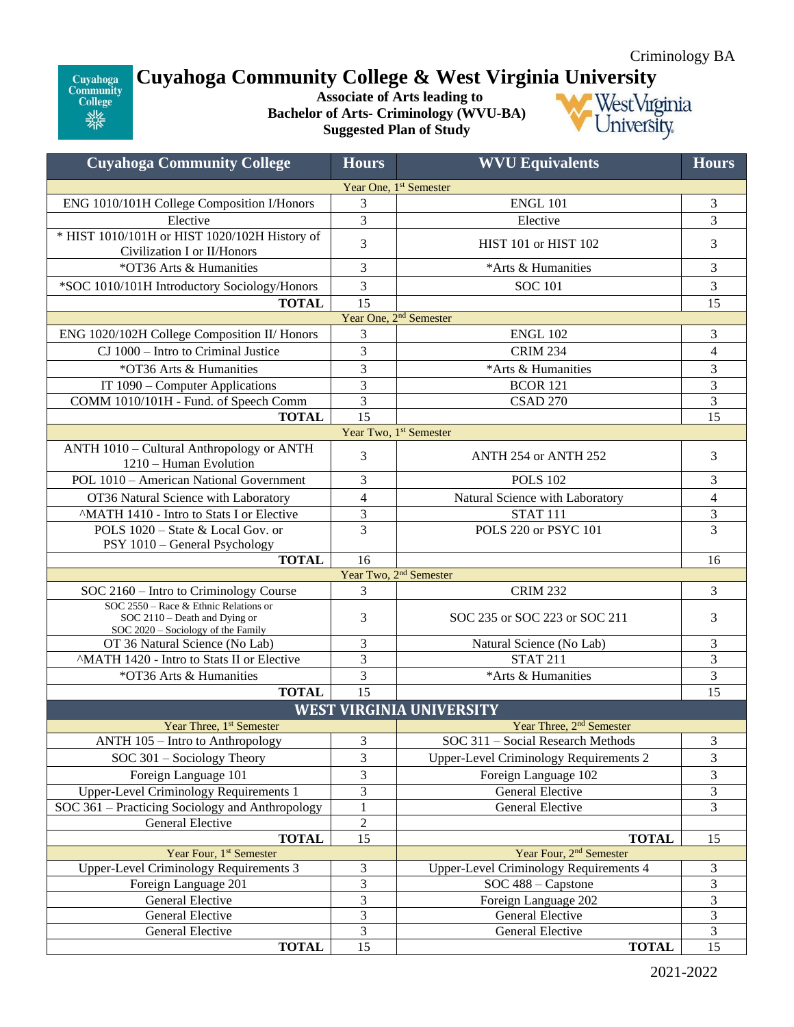## Cuyahoga<br>Community<br>College 業業

## **Cuyahoga Community College & West Virginia University**

**Associate of Arts leading to Bachelor of Arts- Criminology (WVU-BA) Suggested Plan of Study**



| <b>Cuyahoga Community College</b>                                                                            | <b>Hours</b>                       | <b>WVU Equivalents</b>                        | <b>Hours</b>             |  |  |  |
|--------------------------------------------------------------------------------------------------------------|------------------------------------|-----------------------------------------------|--------------------------|--|--|--|
|                                                                                                              | Year One, 1 <sup>st</sup> Semester |                                               |                          |  |  |  |
| ENG 1010/101H College Composition I/Honors                                                                   | 3                                  | <b>ENGL 101</b>                               | 3                        |  |  |  |
| Elective                                                                                                     | 3                                  | Elective                                      | 3                        |  |  |  |
| * HIST 1010/101H or HIST 1020/102H History of                                                                |                                    |                                               |                          |  |  |  |
| Civilization I or II/Honors                                                                                  | 3                                  | HIST 101 or HIST 102                          | 3                        |  |  |  |
| *OT36 Arts & Humanities                                                                                      | 3                                  | *Arts & Humanities                            | 3                        |  |  |  |
| *SOC 1010/101H Introductory Sociology/Honors                                                                 | 3                                  | <b>SOC 101</b>                                | 3                        |  |  |  |
| <b>TOTAL</b>                                                                                                 | 15                                 |                                               |                          |  |  |  |
| Year One, 2 <sup>nd</sup> Semester                                                                           |                                    |                                               |                          |  |  |  |
| ENG 1020/102H College Composition II/ Honors                                                                 | 3                                  | <b>ENGL 102</b>                               | 3                        |  |  |  |
| CJ 1000 - Intro to Criminal Justice                                                                          | 3                                  | <b>CRIM 234</b>                               | $\overline{\mathcal{L}}$ |  |  |  |
| *OT36 Arts & Humanities                                                                                      | 3                                  | *Arts & Humanities                            |                          |  |  |  |
| IT 1090 – Computer Applications                                                                              | 3                                  | <b>BCOR 121</b>                               | 3                        |  |  |  |
| COMM 1010/101H - Fund. of Speech Comm                                                                        | 3                                  | <b>CSAD 270</b>                               | 3                        |  |  |  |
| <b>TOTAL</b>                                                                                                 | 15                                 |                                               | 15                       |  |  |  |
|                                                                                                              |                                    | Year Two, 1st Semester                        |                          |  |  |  |
| ANTH 1010 - Cultural Anthropology or ANTH<br>1210 – Human Evolution                                          | 3                                  | ANTH 254 or ANTH 252                          | 3                        |  |  |  |
| POL 1010 - American National Government                                                                      | 3                                  | <b>POLS 102</b>                               | 3                        |  |  |  |
| OT36 Natural Science with Laboratory                                                                         | $\overline{\mathcal{L}}$           | Natural Science with Laboratory               | $\overline{4}$           |  |  |  |
| <sup>^</sup> MATH 1410 - Intro to Stats I or Elective                                                        | 3                                  | <b>STAT 111</b>                               | $\overline{\mathbf{3}}$  |  |  |  |
| POLS 1020 – State & Local Gov. or<br>PSY 1010 - General Psychology                                           | $\overline{3}$                     | POLS 220 or PSYC 101                          | $\overline{3}$           |  |  |  |
| <b>TOTAL</b>                                                                                                 | 16                                 |                                               | 16                       |  |  |  |
| Year Two, 2 <sup>nd</sup> Semester                                                                           |                                    |                                               |                          |  |  |  |
| SOC 2160 - Intro to Criminology Course                                                                       | 3                                  | <b>CRIM 232</b>                               | 3                        |  |  |  |
| SOC 2550 - Race & Ethnic Relations or<br>SOC 2110 - Death and Dying or<br>SOC 2020 - Sociology of the Family | 3                                  | SOC 235 or SOC 223 or SOC 211                 | 3                        |  |  |  |
| OT 36 Natural Science (No Lab)                                                                               | 3                                  | Natural Science (No Lab)                      | 3                        |  |  |  |
| <sup>^</sup> MATH 1420 - Intro to Stats II or Elective                                                       | 3                                  | <b>STAT 211</b>                               | $\overline{3}$           |  |  |  |
| *OT36 Arts & Humanities                                                                                      | 3                                  | *Arts & Humanities                            | 3                        |  |  |  |
| <b>TOTAL</b>                                                                                                 | 15                                 |                                               |                          |  |  |  |
| 15<br><b>WEST VIRGINIA UNIVERSITY</b>                                                                        |                                    |                                               |                          |  |  |  |
| Year Three, 1 <sup>st</sup> Semester                                                                         |                                    | Year Three, 2 <sup>nd</sup> Semester          |                          |  |  |  |
| ANTH 105 - Intro to Anthropology                                                                             | 3                                  | SOC 311 - Social Research Methods             | $\mathfrak 3$            |  |  |  |
| SOC 301 - Sociology Theory                                                                                   | 3                                  | <b>Upper-Level Criminology Requirements 2</b> | 3                        |  |  |  |
| Foreign Language 101                                                                                         | 3                                  | Foreign Language 102                          | 3                        |  |  |  |
| <b>Upper-Level Criminology Requirements 1</b>                                                                | 3                                  | General Elective                              | $\overline{3}$           |  |  |  |
| SOC 361 – Practicing Sociology and Anthropology                                                              |                                    | <b>General Elective</b>                       | 3                        |  |  |  |
| General Elective                                                                                             | $\overline{c}$                     |                                               |                          |  |  |  |
| <b>TOTAL</b>                                                                                                 | $\overline{15}$                    | <b>TOTAL</b>                                  | 15                       |  |  |  |
| Year Four, 1 <sup>st</sup> Semester                                                                          |                                    | Year Four, 2 <sup>nd</sup> Semester           |                          |  |  |  |
| <b>Upper-Level Criminology Requirements 3</b>                                                                | 3                                  | <b>Upper-Level Criminology Requirements 4</b> | 3                        |  |  |  |
| Foreign Language 201                                                                                         | 3                                  | SOC 488 - Capstone                            | 3                        |  |  |  |
| General Elective                                                                                             | 3                                  | Foreign Language 202                          | $\overline{3}$           |  |  |  |
| General Elective                                                                                             | 3                                  | General Elective                              | $\mathfrak{Z}$           |  |  |  |
| General Elective                                                                                             | 3                                  | General Elective                              | 3                        |  |  |  |
| <b>TOTAL</b>                                                                                                 | 15                                 | <b>TOTAL</b>                                  | 15                       |  |  |  |